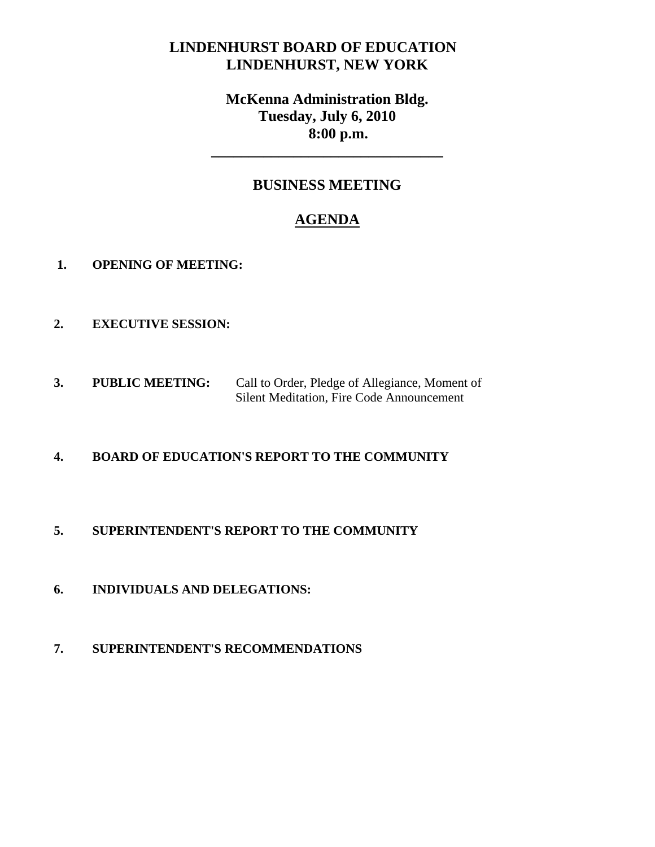## **LINDENHURST BOARD OF EDUCATION LINDENHURST, NEW YORK**

# **McKenna Administration Bldg. Tuesday, July 6, 2010 8:00 p.m.**

### **BUSINESS MEETING**

**\_\_\_\_\_\_\_\_\_\_\_\_\_\_\_\_\_\_\_\_\_\_\_\_\_\_\_\_\_\_\_** 

# **AGENDA**

- **1. OPENING OF MEETING:**
- **2. EXECUTIVE SESSION:**
- **3. PUBLIC MEETING:** Call to Order, Pledge of Allegiance, Moment of Silent Meditation, Fire Code Announcement

#### **4. BOARD OF EDUCATION'S REPORT TO THE COMMUNITY**

#### **5. SUPERINTENDENT'S REPORT TO THE COMMUNITY**

- **6. INDIVIDUALS AND DELEGATIONS:**
- **7. SUPERINTENDENT'S RECOMMENDATIONS**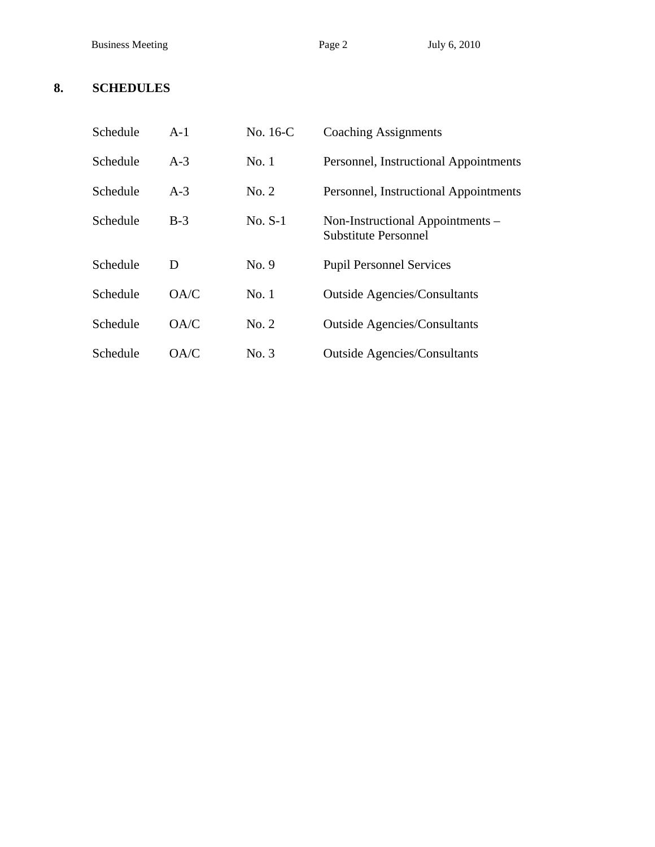Business Meeting Page 2 July 6, 2010

## **8. SCHEDULES**

| Schedule | $A-1$ | No. 16-C  | <b>Coaching Assignments</b>                                     |
|----------|-------|-----------|-----------------------------------------------------------------|
| Schedule | $A-3$ | No.1      | Personnel, Instructional Appointments                           |
| Schedule | $A-3$ | No. 2     | Personnel, Instructional Appointments                           |
| Schedule | $B-3$ | $No. S-1$ | Non-Instructional Appointments –<br><b>Substitute Personnel</b> |
| Schedule | D     | No. 9     | <b>Pupil Personnel Services</b>                                 |
| Schedule | OA/C  | No.1      | <b>Outside Agencies/Consultants</b>                             |
| Schedule | OA/C  | No. 2     | <b>Outside Agencies/Consultants</b>                             |
| Schedule | OA/C  | No. 3     | <b>Outside Agencies/Consultants</b>                             |